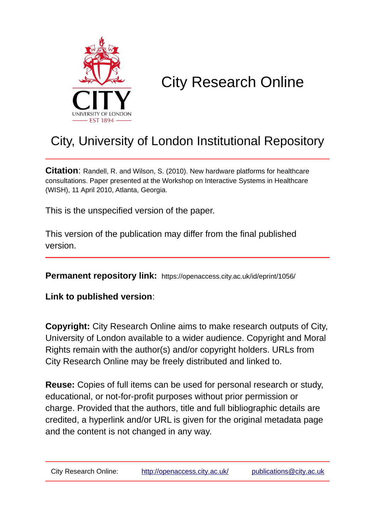

# City Research Online

## City, University of London Institutional Repository

**Citation**: Randell, R. and Wilson, S. (2010). New hardware platforms for healthcare consultations. Paper presented at the Workshop on Interactive Systems in Healthcare (WISH), 11 April 2010, Atlanta, Georgia.

This is the unspecified version of the paper.

This version of the publication may differ from the final published version.

**Permanent repository link:** https://openaccess.city.ac.uk/id/eprint/1056/

**Link to published version**:

**Copyright:** City Research Online aims to make research outputs of City, University of London available to a wider audience. Copyright and Moral Rights remain with the author(s) and/or copyright holders. URLs from City Research Online may be freely distributed and linked to.

**Reuse:** Copies of full items can be used for personal research or study, educational, or not-for-profit purposes without prior permission or charge. Provided that the authors, title and full bibliographic details are credited, a hyperlink and/or URL is given for the original metadata page and the content is not changed in any way.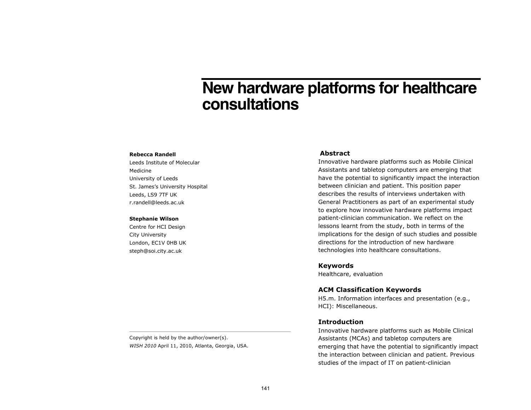### New hardware platforms for healthcare consultations

#### **Rebecca Randell**

Leeds Institute of Molecular Medicine University of Leeds St. James's University Hospital Leeds, LS9 7TF UK r.randell@leeds.ac.uk

#### **Stephanie Wilson**

Centre for HCI Design City University London, EC1V OHB UK steph@soi.city.ac.uk

#### **Abstract**

Innovative hardware platforms such as Mobile Clinical Assistants and tabletop computers are emerging that have the potential to significantly impact the interaction between clinician and patient. This position paper describes the results of interviews undertaken with General Practitioners as part of an experimental study to explore how innovative hardware platforms impact patient-clinician communication. We reflect on the lessons learnt from the study, both in terms of the implications for the design of such studies and possible directions for the introduction of new hardware technologies into healthcare consultations.

**Keywords** 

Healthcare, evaluation

### **ACM Classification Keywords**

H5.m. Information interfaces and presentation (e.g., HCI): Miscellaneous.

#### **Introduction**

Innovative hardware platforms such as Mobile Clinical Assistants (MCAs) and tabletop computers are emerging that have the potential to significantly impact the interaction between clinician and patient. Previous studies of the impact of IT on patient-clinician

Copyright is held by the author/owner(s). WISH 2010 April 11, 2010, Atlanta, Georgia, USA.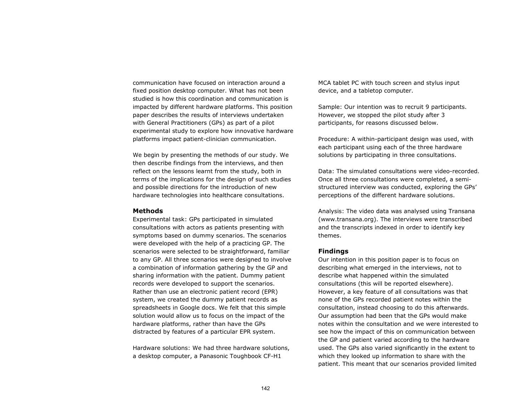communication have focused on interaction around a fixed position desktop computer. What has not been studied is how this coordination and communication is impacted by different hardware platforms. This position paper describes the results of interviews undertaken with General Practitioners (GPs) as part of a pilot experimental study to explore how innovative hardware platforms impact patient-clinician communication.

We begin by presenting the methods of our study. We then describe findings from the interviews, and then reflect on the lessons learnt from the study, both in terms of the implications for the design of such studies and possible directions for the introduction of new hardware technologies into healthcare consultations.

#### **Methods**

Experimental task: GPs participated in simulated consultations with actors as patients presenting with symptoms based on dummy scenarios. The scenarios were developed with the help of a practicing GP. The scenarios were selected to be straightforward, familiar to any GP. All three scenarios were designed to involve a combination of information gathering by the GP and sharing information with the patient. Dummy patient records were developed to support the scenarios. Rather than use an electronic patient record (EPR) system, we created the dummy patient records as spreadsheets in Google docs. We felt that this simple solution would allow us to focus on the impact of the hardware platforms, rather than have the GPs distracted by features of a particular EPR system.

Hardware solutions: We had three hardware solutions, a desktop computer, a Panasonic Toughbook CF-H1

MCA tablet PC with touch screen and stylus input device, and a tabletop computer.

Sample: Our intention was to recruit 9 participants. However, we stopped the pilot study after 3 participants, for reasons discussed below.

Procedure: A within-participant design was used, with each participant using each of the three hardware solutions by participating in three consultations.

Data: The simulated consultations were video-recorded. Once all three consultations were completed, a semistructured interview was conducted, exploring the GPs' perceptions of the different hardware solutions.

Analysis: The video data was analysed using Transana (www.transana.org). The interviews were transcribed and the transcripts indexed in order to identify key themes.

#### **Findings**

Our intention in this position paper is to focus on describing what emerged in the interviews, not to describe what happened within the simulated consultations (this will be reported elsewhere). However, a key feature of all consultations was that none of the GPs recorded patient notes within the consultation, instead choosing to do this afterwards. Our assumption had been that the GPs would make notes within the consultation and we were interested to see how the impact of this on communication between the GP and patient varied according to the hardware used. The GPs also varied significantly in the extent to which they looked up information to share with the patient. This meant that our scenarios provided limited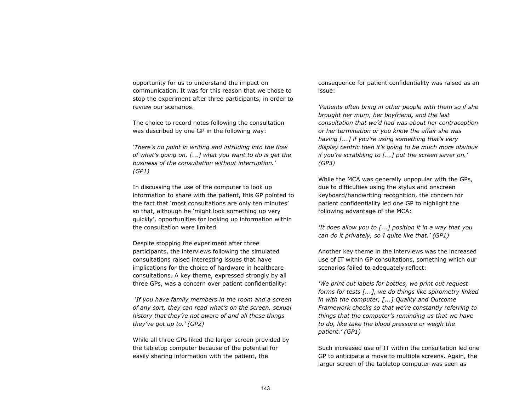opportunity for us to understand the impact on communication. It was for this reason that we chose to stop the experiment after three participants, in order to review our scenarios.

The choice to record notes following the consultation was described by one GP in the following way:

*'There's no point in writing and intruding into the flow of what's going on. [...] what you want to do is get the business of the consultation without interruption.' (GP1)* 

In discussing the use of the computer to look up information to share with the patient, this GP pointed to the fact that 'most consultations are only ten minutes' so that, although he 'might look something up very quickly', opportunities for looking up information within the consultation were limited.

Despite stopping the experiment after three participants, the interviews following the simulated consultations raised interesting issues that have implications for the choice of hardware in healthcare consultations. A key theme, expressed strongly by all three GPs, was a concern over patient confidentiality:

*'If you have family members in the room and a screen of any sort, they can read what's on the screen, sexual history that they're not aware of and all these things they've got up to.' (GP2)* 

While all three GPs liked the larger screen provided by the tabletop computer because of the potential for easily sharing information with the patient, the

consequence for patient confidentiality was raised as an issue:

*'Patients often bring in other people with them so if she brought her mum, her boyfriend, and the last consultation that we'd had was about her contraception or her termination or you know the affair she was having [...] if you're using something that's very display centric then it's going to be much more obvious if you're scrabbling to [...] put the screen saver on.' (GP3)* 

While the MCA was generally unpopular with the GPs, due to difficulties using the stylus and onscreen keyboard/handwriting recognition, the concern for patient confidentiality led one GP to highlight the following advantage of the MCA:

*'It does allow you to [...] position it in a way that you can do it privately, so I quite like that.' (GP1)* 

Another key theme in the interviews was the increased use of IT within GP consultations, something which our scenarios failed to adequately reflect:

*'We print out labels for bottles, we print out request forms for tests [...], we do things like spirometry linked in with the computer, [...] Quality and Outcome Framework checks so that we're constantly referring to things that the computer's reminding us that we have to do, like take the blood pressure or weigh the patient.' (GP1)* 

Such increased use of IT within the consultation led one GP to anticipate a move to multiple screens. Again, the larger screen of the tabletop computer was seen as